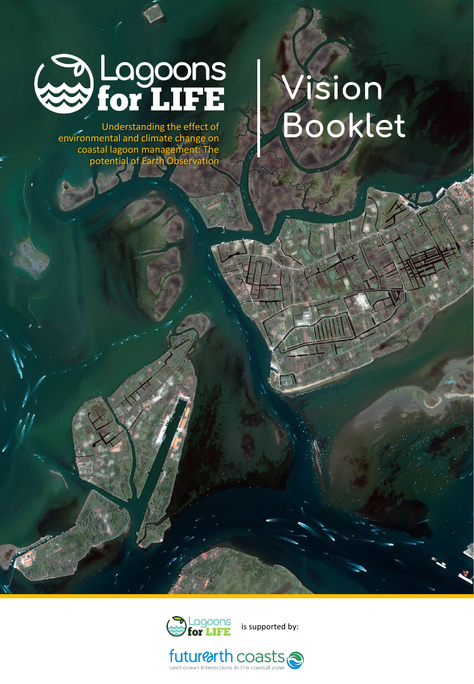

Understanding the effect of environmental and climate change on coastal lagoon management: The potential of Earth Observation

# **Vision Booklet**



is supported by:

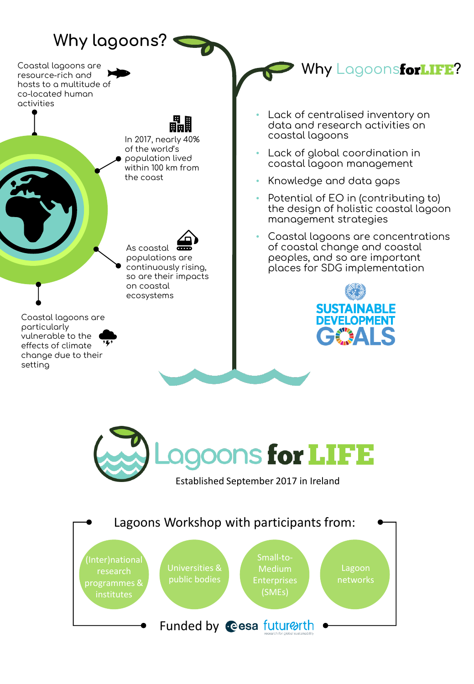## **Why lagoons?**

Coastal lagoons are resource-rich and hosts to a multitude of co-located human activities



vulnerable to the effects of climate change due to their setting

Lack of centralised inventory on data and research activities on coastal lagoons

- Lack of global coordination in coastal lagoon management
- Knowledge and data gaps
- Potential of EO in (contributing to) the design of holistic coastal lagoon management strategies

**Why** LagoonsforLIFE?

• Coastal lagoons are concentrations of coastal change and coastal peoples, and so are important places for SDG implementation





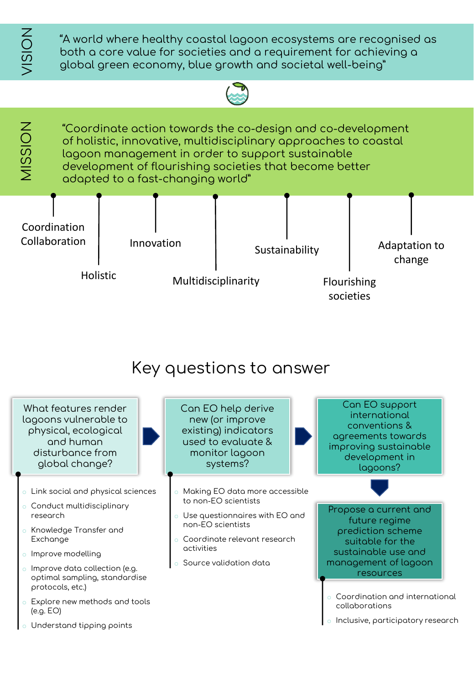**NOISI** 

"A world where healthy coastal lagoon ecosystems are recognised as both a core value for societies and a requirement for achieving a global green economy, blue growth and societal well-being"





#### Key questions to answer

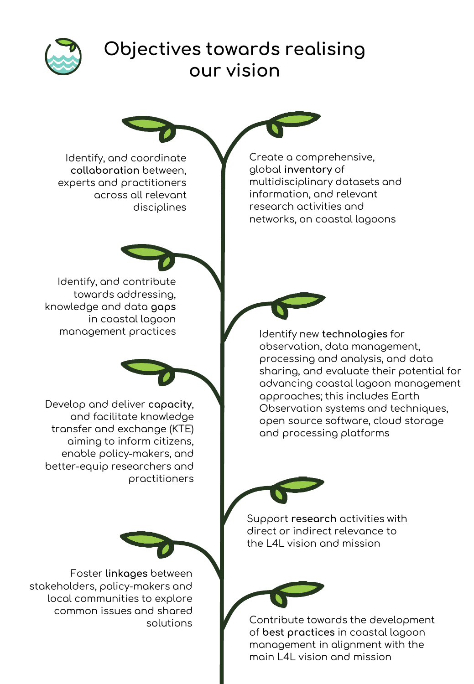

### **Objectives towards realising our vision**

Identify, and coordinate **collaboration** between, experts and practitioners across all relevant disciplines

Create a comprehensive, global **inventory** of multidisciplinary datasets and information, and relevant research activities and networks, on coastal lagoons

Identify, and contribute towards addressing, knowledge and data **gaps** in coastal lagoon

Develop and deliver **capacity**, and facilitate knowledge transfer and exchange (KTE) aiming to inform citizens, enable policy-makers, and better-equip researchers and practitioners

management practices Identify new **technologies** for observation, data management, processing and analysis, and data sharing, and evaluate their potential for advancing coastal lagoon management approaches; this includes Earth Observation systems and techniques, open source software, cloud storage and processing platforms



Support **research** activities with direct or indirect relevance to the L4L vision and mission



Contribute towards the development of **best practices** in coastal lagoon management in alignment with the main L4L vision and mission

Foster **linkages** between stakeholders, policy-makers and local communities to explore common issues and shared solutions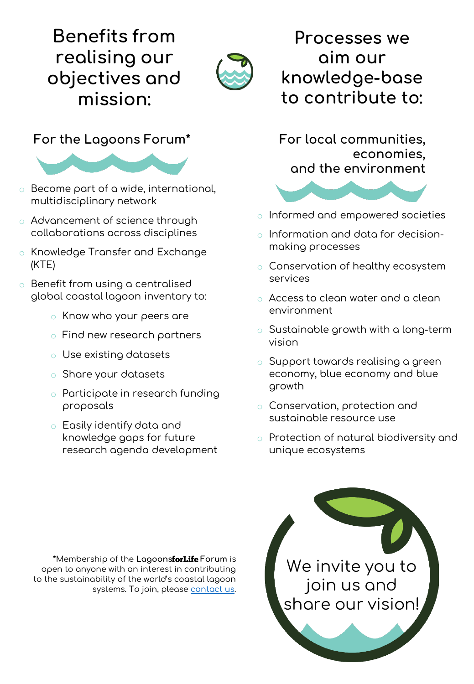# **Benefits from realising our objectives and mission:**



#### **For the Lagoons Forum\* For local communities,**



- o Become part of a wide, international, multidisciplinary network
- o Advancement of science through collaborations across disciplines
- o Knowledge Transfer and Exchange (KTE)
- o Benefit from using a centralised global coastal lagoon inventory to:
	- o Know who your peers are
	- o Find new research partners
	- o Use existing datasets
	- o Share your datasets
	- o Participate in research funding proposals
	- o Easily identify data and knowledge gaps for future research agenda development

**Processes we aim our knowledge-base to contribute to:**

**economies, and the environment**



- o Informed and empowered societies
- o Information and data for decisionmaking processes
- o Conservation of healthy ecosystem services
- o Access to clean water and a clean environment
- $\circ$  Sustainable growth with a long-term vision
- o Support towards realising a green economy, blue economy and blue growth
- o Conservation, protection and sustainable resource use
- o Protection of natural biodiversity and unique ecosystems

**\***Membership of the **Lagoons Forum** is open to anyone with an interest in contributing to the sustainability of the world's coastal lagoon systems. To join, please [contact us](https://www.lagoonsforlife.com/contact/).